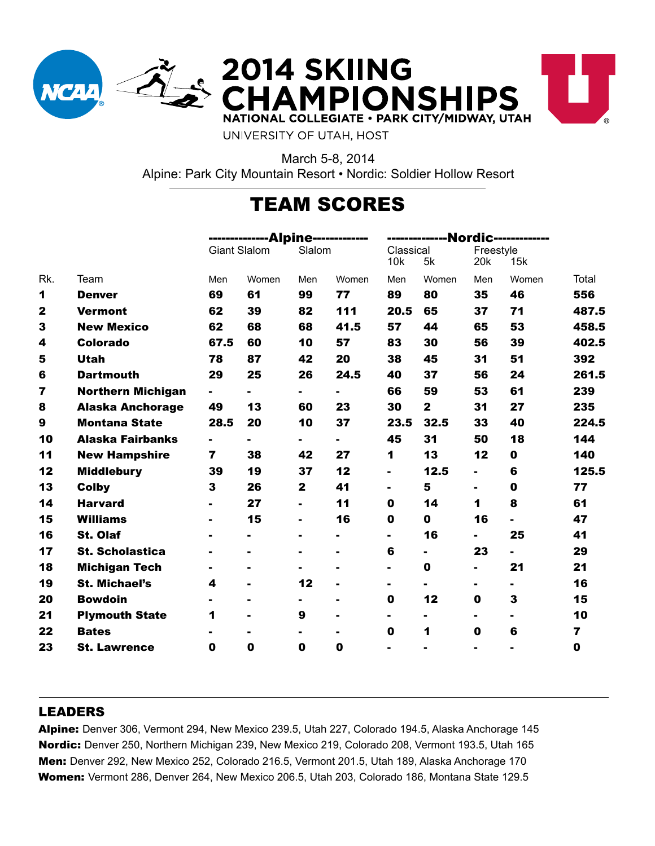

**2014 SKIING<br>CHAMPIONSHIPS** NATIONAL COLLEGIATE . PARK CITY/MIDWAY, UTAH



UNIVERSITY OF UTAH, HOST

March 5-8, 2014 Alpine: Park City Mountain Resort • Nordic: Soldier Hollow Resort

# TEAM SCORES

|                  |                          | -------------Alpine------------ |                |                | -------------Nordic------------ |                  |                |                                     |                |                         |
|------------------|--------------------------|---------------------------------|----------------|----------------|---------------------------------|------------------|----------------|-------------------------------------|----------------|-------------------------|
|                  |                          | <b>Giant Slalom</b>             |                | Slalom         |                                 | Classical<br>10k | 5k             | Freestyle<br>20 <sub>k</sub><br>15k |                |                         |
| Rk.              | Team                     | Men                             | Women          | Men            | Women                           | Men              | Women          | Men                                 | Women          | Total                   |
| 1                | <b>Denver</b>            | 69                              | 61             | 99             | 77                              | 89               | 80             | 35                                  | 46             | 556                     |
| $\mathbf{2}$     | <b>Vermont</b>           | 62                              | 39             | 82             | 111                             | 20.5             | 65             | 37                                  | 71             | 487.5                   |
| 3                | <b>New Mexico</b>        | 62                              | 68             | 68             | 41.5                            | 57               | 44             | 65                                  | 53             | 458.5                   |
| 4                | <b>Colorado</b>          | 67.5                            | 60             | 10             | 57                              | 83               | 30             | 56                                  | 39             | 402.5                   |
| 5                | <b>Utah</b>              | 78                              | 87             | 42             | 20                              | 38               | 45             | 31                                  | 51             | 392                     |
| 6                | <b>Dartmouth</b>         | 29                              | 25             | 26             | 24.5                            | 40               | 37             | 56                                  | 24             | 261.5                   |
| 7                | <b>Northern Michigan</b> | ٠.                              | $\blacksquare$ | Ξ.             | $\blacksquare$                  | 66               | 59             | 53                                  | 61             | 239                     |
| 8                | <b>Alaska Anchorage</b>  | 49                              | 13             | 60             | 23                              | 30               | $\mathbf{2}$   | 31                                  | 27             | 235                     |
| $\boldsymbol{9}$ | <b>Montana State</b>     | 28.5                            | 20             | 10             | 37                              | 23.5             | 32.5           | 33                                  | 40             | 224.5                   |
| 10               | <b>Alaska Fairbanks</b>  | $\blacksquare$                  | $\blacksquare$ | Ξ.             | $\blacksquare$                  | 45               | 31             | 50                                  | 18             | 144                     |
| 11               | <b>New Hampshire</b>     | 7                               | 38             | 42             | 27                              | 1                | 13             | 12                                  | 0              | 140                     |
| 12               | <b>Middlebury</b>        | 39                              | 19             | 37             | 12                              | $\blacksquare$   | 12.5           | $\blacksquare$                      | 6              | 125.5                   |
| 13               | <b>Colby</b>             | 3                               | 26             | $\mathbf{2}$   | 41                              |                  | 5              | $\blacksquare$                      | 0              | 77                      |
| 14               | <b>Harvard</b>           |                                 | 27             | $\blacksquare$ | 11                              | 0                | 14             | 1                                   | 8              | 61                      |
| 15               | <b>Williams</b>          |                                 | 15             | $\blacksquare$ | 16                              | 0                | 0              | 16                                  | $\blacksquare$ | 47                      |
| 16               | <b>St. Olaf</b>          |                                 |                |                | $\blacksquare$                  | $\blacksquare$   | 16             | $\blacksquare$                      | 25             | 41                      |
| 17               | <b>St. Scholastica</b>   |                                 |                | $\blacksquare$ | $\blacksquare$                  | 6                | $\blacksquare$ | 23                                  | $\blacksquare$ | 29                      |
| 18               | <b>Michigan Tech</b>     |                                 |                |                | $\blacksquare$                  | $\blacksquare$   | $\mathbf 0$    | $\blacksquare$                      | 21             | 21                      |
| 19               | <b>St. Michael's</b>     | 4                               |                | 12             |                                 |                  |                | Ξ.                                  | ٠.             | 16                      |
| 20               | <b>Bowdoin</b>           |                                 | $\blacksquare$ |                | $\blacksquare$                  | 0                | 12             | 0                                   | 3              | 15                      |
| 21               | <b>Plymouth State</b>    | 1                               | Ξ.             | 9              | $\blacksquare$                  | $\blacksquare$   | $\blacksquare$ | $\blacksquare$                      | ۰.             | 10                      |
| 22               | <b>Bates</b>             |                                 |                | Ξ.             | $\blacksquare$                  | $\mathbf 0$      | 1              | 0                                   | 6              | $\overline{\mathbf{z}}$ |
| 23               | <b>St. Lawrence</b>      | 0                               | 0              | 0              | 0                               |                  |                | $\blacksquare$                      |                | $\mathbf 0$             |
|                  |                          |                                 |                |                |                                 |                  |                |                                     |                |                         |

#### LEADERS

Alpine: Denver 306, Vermont 294, New Mexico 239.5, Utah 227, Colorado 194.5, Alaska Anchorage 145 Nordic: Denver 250, Northern Michigan 239, New Mexico 219, Colorado 208, Vermont 193.5, Utah 165 Men: Denver 292, New Mexico 252, Colorado 216.5, Vermont 201.5, Utah 189, Alaska Anchorage 170 Women: Vermont 286, Denver 264, New Mexico 206.5, Utah 203, Colorado 186, Montana State 129.5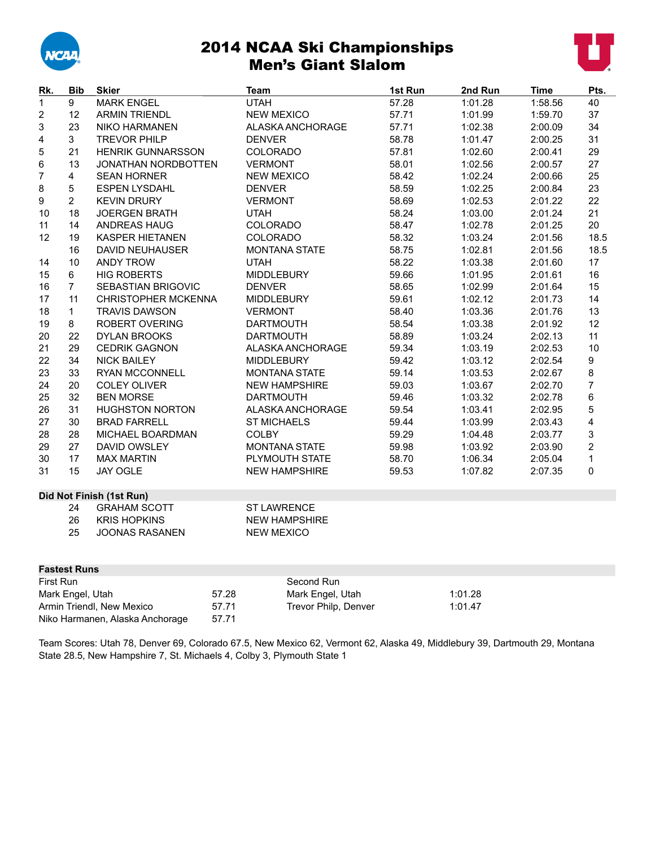

# 2014 NCAA Ski Championships Men's Giant Slalom



| Rk.                             | <b>Bib</b>          | <b>Skier</b>               |       | Team                 | 1st Run | 2nd Run | <b>Time</b> | Pts.                     |
|---------------------------------|---------------------|----------------------------|-------|----------------------|---------|---------|-------------|--------------------------|
| 1                               | 9                   | <b>MARK ENGEL</b>          |       | <b>UTAH</b>          | 57.28   | 1:01.28 | 1:58.56     | 40                       |
| $\boldsymbol{2}$                | 12                  | <b>ARMIN TRIENDL</b>       |       | <b>NEW MEXICO</b>    | 57.71   | 1:01.99 | 1:59.70     | 37                       |
| 3                               | 23                  | <b>NIKO HARMANEN</b>       |       | ALASKA ANCHORAGE     | 57.71   | 1:02.38 | 2:00.09     | 34                       |
| 4                               | $\mathbf{3}$        | <b>TREVOR PHILP</b>        |       | <b>DENVER</b>        | 58.78   | 1:01.47 | 2:00.25     | 31                       |
| 5                               | 21                  | <b>HENRIK GUNNARSSON</b>   |       | COLORADO             | 57.81   | 1:02.60 | 2:00.41     | 29                       |
| 6                               | 13                  | <b>JONATHAN NORDBOTTEN</b> |       | <b>VERMONT</b>       | 58.01   | 1:02.56 | 2:00.57     | 27                       |
| $\overline{7}$                  | $\overline{4}$      | <b>SEAN HORNER</b>         |       | <b>NEW MEXICO</b>    | 58.42   | 1:02.24 | 2:00.66     | 25                       |
| 8                               | $\overline{5}$      | <b>ESPEN LYSDAHL</b>       |       | <b>DENVER</b>        | 58.59   | 1:02.25 | 2:00.84     | 23                       |
| 9                               | $\overline{2}$      | <b>KEVIN DRURY</b>         |       | <b>VERMONT</b>       | 58.69   | 1:02.53 | 2:01.22     | 22                       |
| 10                              | 18                  | <b>JOERGEN BRATH</b>       |       | <b>UTAH</b>          | 58.24   | 1:03.00 | 2:01.24     | 21                       |
| 11                              | 14                  | ANDREAS HAUG               |       | <b>COLORADO</b>      | 58.47   | 1:02.78 | 2:01.25     | 20                       |
| 12 <sup>2</sup>                 | 19                  | <b>KASPER HIETANEN</b>     |       | COLORADO             | 58.32   | 1:03.24 | 2:01.56     | 18.5                     |
|                                 | 16                  | <b>DAVID NEUHAUSER</b>     |       | <b>MONTANA STATE</b> | 58.75   | 1:02.81 | 2:01.56     | 18.5                     |
| 14                              | 10                  | <b>ANDY TROW</b>           |       | <b>UTAH</b>          | 58.22   | 1:03.38 | 2:01.60     | 17                       |
| 15                              | 6                   | <b>HIG ROBERTS</b>         |       | MIDDLEBURY           | 59.66   | 1:01.95 | 2:01.61     | 16                       |
| 16                              | $\overline{7}$      | SEBASTIAN BRIGOVIC         |       | <b>DENVER</b>        | 58.65   | 1:02.99 | 2:01.64     | 15                       |
| 17                              | 11                  | <b>CHRISTOPHER MCKENNA</b> |       | <b>MIDDLEBURY</b>    | 59.61   | 1:02.12 | 2:01.73     | 14                       |
| 18                              | $\mathbf{1}$        | <b>TRAVIS DAWSON</b>       |       | <b>VERMONT</b>       | 58.40   | 1:03.36 | 2:01.76     | 13                       |
| 19                              | 8                   | ROBERT OVERING             |       | <b>DARTMOUTH</b>     | 58.54   | 1:03.38 | 2:01.92     | 12                       |
| 20                              | 22                  | <b>DYLAN BROOKS</b>        |       | <b>DARTMOUTH</b>     | 58.89   | 1:03.24 | 2:02.13     | 11                       |
| 21                              | 29                  | <b>CEDRIK GAGNON</b>       |       | ALASKA ANCHORAGE     | 59.34   | 1:03.19 | 2:02.53     | 10                       |
| 22                              | 34                  | <b>NICK BAILEY</b>         |       | <b>MIDDLEBURY</b>    | 59.42   | 1:03.12 | 2:02.54     | 9                        |
| 23                              | 33                  | <b>RYAN MCCONNELL</b>      |       | <b>MONTANA STATE</b> | 59.14   | 1:03.53 | 2:02.67     | 8                        |
| 24                              | 20                  | <b>COLEY OLIVER</b>        |       | <b>NEW HAMPSHIRE</b> | 59.03   | 1:03.67 | 2:02.70     | $\overline{\mathcal{I}}$ |
| 25                              | 32                  | <b>BEN MORSE</b>           |       | <b>DARTMOUTH</b>     | 59.46   | 1:03.32 | 2:02.78     | 6                        |
| 26                              | 31                  | <b>HUGHSTON NORTON</b>     |       | ALASKA ANCHORAGE     | 59.54   | 1:03.41 | 2:02.95     | 5                        |
| 27                              | 30                  | <b>BRAD FARRELL</b>        |       | <b>ST MICHAELS</b>   | 59.44   | 1:03.99 | 2:03.43     | 4                        |
| 28                              | 28                  | MICHAEL BOARDMAN           |       | <b>COLBY</b>         | 59.29   | 1:04.48 | 2:03.77     | 3                        |
| 29                              | 27                  | <b>DAVID OWSLEY</b>        |       | <b>MONTANA STATE</b> | 59.98   | 1:03.92 | 2:03.90     | $\overline{\mathbf{c}}$  |
| 30                              | 17                  | <b>MAX MARTIN</b>          |       | PLYMOUTH STATE       | 58.70   | 1:06.34 | 2:05.04     | 1                        |
| 31                              | 15                  | <b>JAY OGLE</b>            |       | <b>NEW HAMPSHIRE</b> | 59.53   | 1:07.82 | 2:07.35     | 0                        |
|                                 |                     | Did Not Finish (1st Run)   |       |                      |         |         |             |                          |
|                                 | 24                  | <b>GRAHAM SCOTT</b>        |       | <b>ST LAWRENCE</b>   |         |         |             |                          |
|                                 | 26                  | <b>KRIS HOPKINS</b>        |       | <b>NEW HAMPSHIRE</b> |         |         |             |                          |
|                                 | 25                  | <b>JOONAS RASANEN</b>      |       | <b>NEW MEXICO</b>    |         |         |             |                          |
|                                 |                     |                            |       |                      |         |         |             |                          |
|                                 |                     |                            |       |                      |         |         |             |                          |
|                                 | <b>Fastest Runs</b> |                            |       |                      |         |         |             |                          |
| First Run                       |                     |                            |       | Second Run           |         |         |             |                          |
|                                 | Mark Engel, Utah    |                            | 57.28 | Mark Engel, Utah     |         | 1:01.28 |             |                          |
|                                 |                     | Armin Triendl, New Mexico  | 57.71 | Trevor Philp, Denver |         | 1:01.47 |             |                          |
| Niko Harmanen, Alaska Anchorage |                     |                            | 57.71 |                      |         |         |             |                          |

Team Scores: Utah 78, Denver 69, Colorado 67.5, New Mexico 62, Vermont 62, Alaska 49, Middlebury 39, Dartmouth 29, Montana State 28.5, New Hampshire 7, St. Michaels 4, Colby 3, Plymouth State 1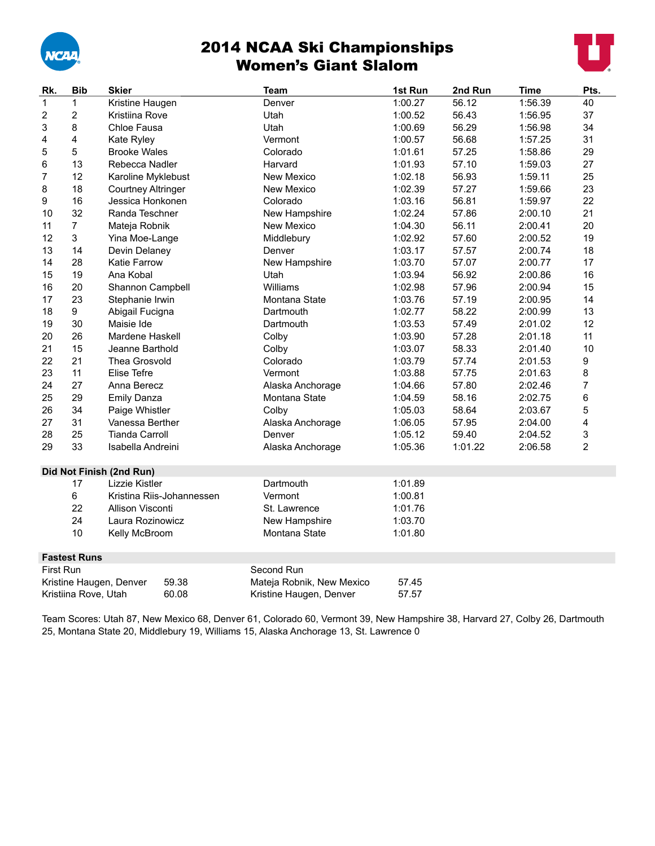

# 2014 NCAA Ski Championships Women's Giant Slalom



| Rk.          | <b>Bib</b><br><b>Skier</b><br><b>Team</b> |                                  |                           | 1st Run | 2nd Run | <b>Time</b> | Pts.           |
|--------------|-------------------------------------------|----------------------------------|---------------------------|---------|---------|-------------|----------------|
| $\mathbf{1}$ | $\mathbf{1}$                              | Kristine Haugen                  | Denver                    | 1:00.27 | 56.12   | 1:56.39     | 40             |
| 2            | $\overline{2}$                            | Kristiina Rove                   | Utah                      | 1:00.52 | 56.43   | 1:56.95     | 37             |
| 3            | 8                                         | Chloe Fausa                      | Utah                      | 1:00.69 | 56.29   | 1:56.98     | 34             |
| 4            | 4                                         | Kate Ryley                       | Vermont                   | 1:00.57 | 56.68   | 1:57.25     | 31             |
| 5            | 5                                         | <b>Brooke Wales</b>              | Colorado                  | 1:01.61 | 57.25   | 1:58.86     | 29             |
| 6            | 13                                        | Rebecca Nadler                   | Harvard                   | 1:01.93 | 57.10   | 1:59.03     | 27             |
| 7            | 12                                        | Karoline Myklebust               | New Mexico                | 1:02.18 | 56.93   | 1:59.11     | 25             |
| 8            | 18                                        | <b>Courtney Altringer</b>        | New Mexico                | 1:02.39 | 57.27   | 1:59.66     | 23             |
| 9            | 16                                        | Jessica Honkonen                 | Colorado                  | 1:03.16 | 56.81   | 1:59.97     | 22             |
| 10           | 32                                        | Randa Teschner                   | New Hampshire             | 1:02.24 | 57.86   | 2:00.10     | 21             |
| 11           | $\overline{7}$                            | Mateja Robnik                    | New Mexico                | 1:04.30 | 56.11   | 2:00.41     | 20             |
| 12           | $\mathbf{3}$                              | Yina Moe-Lange                   | Middlebury                | 1:02.92 | 57.60   | 2:00.52     | 19             |
| 13           | 14                                        | Devin Delaney                    | Denver                    | 1:03.17 | 57.57   | 2:00.74     | 18             |
| 14           | 28                                        | <b>Katie Farrow</b>              | New Hampshire             | 1:03.70 | 57.07   | 2:00.77     | 17             |
| 15           | 19                                        | Ana Kobal                        | Utah                      | 1:03.94 | 56.92   | 2:00.86     | 16             |
| 16           | 20                                        | Shannon Campbell                 | Williams                  | 1:02.98 | 57.96   | 2:00.94     | 15             |
| 17           | 23                                        | Stephanie Irwin                  | Montana State             | 1:03.76 | 57.19   | 2:00.95     | 14             |
| 18           | 9                                         | Abigail Fucigna                  | Dartmouth                 | 1:02.77 | 58.22   | 2:00.99     | 13             |
| 19           | 30                                        | Maisie Ide                       | Dartmouth                 | 1:03.53 | 57.49   | 2:01.02     | 12             |
| 20           | 26                                        | Mardene Haskell                  | Colby                     | 1:03.90 | 57.28   | 2:01.18     | 11             |
| 21           | 15                                        | Jeanne Barthold                  | Colby                     | 1:03.07 | 58.33   | 2:01.40     | 10             |
| 22           | 21                                        | Thea Grosvold                    | Colorado                  | 1:03.79 | 57.74   | 2:01.53     | 9              |
| 23           | 11                                        | Elise Tefre                      | Vermont                   | 1:03.88 | 57.75   | 2:01.63     | 8              |
| 24           | 27                                        | Anna Berecz                      | Alaska Anchorage          | 1:04.66 | 57.80   | 2:02.46     | 7              |
| 25           | 29                                        | <b>Emily Danza</b>               | Montana State             | 1:04.59 | 58.16   | 2:02.75     | 6              |
| 26           | 34                                        | Paige Whistler                   | Colby                     | 1:05.03 | 58.64   | 2:03.67     | 5              |
| 27           | 31                                        | Vanessa Berther                  | Alaska Anchorage          | 1:06.05 | 57.95   | 2:04.00     | 4              |
| 28           | 25                                        | <b>Tianda Carroll</b>            | Denver                    | 1:05.12 | 59.40   | 2:04.52     | 3              |
| 29           | 33                                        | Isabella Andreini                | Alaska Anchorage          | 1:05.36 | 1:01.22 | 2:06.58     | $\overline{2}$ |
|              |                                           |                                  |                           |         |         |             |                |
|              |                                           | Did Not Finish (2nd Run)         |                           |         |         |             |                |
|              | 17                                        | Lizzie Kistler                   | Dartmouth                 | 1:01.89 |         |             |                |
|              | 6                                         | Kristina Riis-Johannessen        | Vermont                   | 1:00.81 |         |             |                |
|              | 22                                        | Allison Visconti                 | St. Lawrence              | 1:01.76 |         |             |                |
|              | 24                                        | Laura Rozinowicz                 | New Hampshire             | 1:03.70 |         |             |                |
|              | 10                                        | Kelly McBroom                    | Montana State             | 1:01.80 |         |             |                |
|              | <b>Fastest Runs</b>                       |                                  |                           |         |         |             |                |
| First Run    |                                           |                                  | Second Run                |         |         |             |                |
|              |                                           | 59.38<br>Kristine Haugen, Denver | Mateja Robnik, New Mexico | 57.45   |         |             |                |
|              | Kristiina Rove, Utah                      | 60.08                            | Kristine Haugen, Denver   | 57.57   |         |             |                |

Team Scores: Utah 87, New Mexico 68, Denver 61, Colorado 60, Vermont 39, New Hampshire 38, Harvard 27, Colby 26, Dartmouth 25, Montana State 20, Middlebury 19, Williams 15, Alaska Anchorage 13, St. Lawrence 0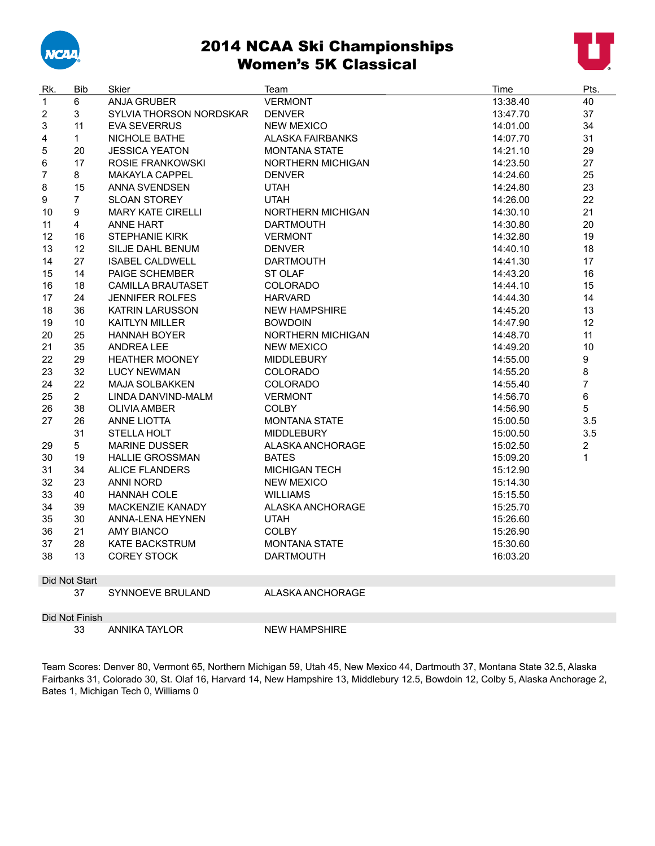

# 2014 NCAA Ski Championships Women's 5K Classical



| Rk.                     | <b>Bib</b>     | Skier                    | Team                     | Time     | Pts.           |
|-------------------------|----------------|--------------------------|--------------------------|----------|----------------|
| $\mathbf{1}$            | 6              | ANJA GRUBER              | <b>VERMONT</b>           | 13:38.40 | 40             |
| $\overline{\mathbf{c}}$ | 3              | SYLVIA THORSON NORDSKAR  | <b>DENVER</b>            | 13:47.70 | 37             |
| 3                       | 11             | <b>EVA SEVERRUS</b>      | <b>NEW MEXICO</b>        | 14:01.00 | 34             |
| 4                       | $\mathbf{1}$   | NICHOLE BATHE            | <b>ALASKA FAIRBANKS</b>  | 14:07.70 | 31             |
| 5                       | 20             | <b>JESSICA YEATON</b>    | <b>MONTANA STATE</b>     | 14:21.10 | 29             |
| 6                       | 17             | ROSIE FRANKOWSKI         | <b>NORTHERN MICHIGAN</b> | 14:23.50 | 27             |
| $\overline{7}$          | 8              | <b>MAKAYLA CAPPEL</b>    | <b>DENVER</b>            | 14:24.60 | 25             |
| 8                       | 15             | ANNA SVENDSEN            | <b>UTAH</b>              | 14:24.80 | 23             |
| 9                       | $\overline{7}$ | <b>SLOAN STOREY</b>      | <b>UTAH</b>              | 14:26.00 | 22             |
| 10                      | 9              | <b>MARY KATE CIRELLI</b> | <b>NORTHERN MICHIGAN</b> | 14:30.10 | 21             |
| 11                      | 4              | <b>ANNE HART</b>         | <b>DARTMOUTH</b>         | 14:30.80 | 20             |
| 12                      | 16             | <b>STEPHANIE KIRK</b>    | <b>VERMONT</b>           | 14:32.80 | 19             |
| 13                      | 12             | SILJE DAHL BENUM         | <b>DENVER</b>            | 14:40.10 | 18             |
| 14                      | 27             | <b>ISABEL CALDWELL</b>   | <b>DARTMOUTH</b>         | 14:41.30 | 17             |
| 15                      | 14             | PAIGE SCHEMBER           | <b>ST OLAF</b>           | 14:43.20 | 16             |
| 16                      | 18             | <b>CAMILLA BRAUTASET</b> | <b>COLORADO</b>          | 14:44.10 | 15             |
| 17                      | 24             | <b>JENNIFER ROLFES</b>   | <b>HARVARD</b>           | 14:44.30 | 14             |
| 18                      | 36             | <b>KATRIN LARUSSON</b>   | <b>NEW HAMPSHIRE</b>     | 14:45.20 | 13             |
| 19                      | 10             | <b>KAITLYN MILLER</b>    | <b>BOWDOIN</b>           | 14:47.90 | 12             |
| 20                      | 25             | <b>HANNAH BOYER</b>      | <b>NORTHERN MICHIGAN</b> | 14:48.70 | 11             |
| 21                      | 35             | <b>ANDREALEE</b>         | <b>NEW MEXICO</b>        | 14:49.20 | 10             |
| 22                      | 29             | <b>HEATHER MOONEY</b>    | <b>MIDDLEBURY</b>        | 14:55.00 | 9              |
| 23                      | 32             | <b>LUCY NEWMAN</b>       | <b>COLORADO</b>          | 14:55.20 | 8              |
| 24                      | 22             | <b>MAJA SOLBAKKEN</b>    | COLORADO                 | 14:55.40 | $\overline{7}$ |
| 25                      | $\overline{2}$ | LINDA DANVIND-MALM       | <b>VERMONT</b>           | 14:56.70 | 6              |
| 26                      | 38             | <b>OLIVIA AMBER</b>      | <b>COLBY</b>             | 14:56.90 | 5              |
| 27                      | 26             | <b>ANNE LIOTTA</b>       | <b>MONTANA STATE</b>     | 15:00.50 | 3.5            |
|                         | 31             | STELLA HOLT              | <b>MIDDLEBURY</b>        | 15:00.50 | 3.5            |
| 29                      | 5              | <b>MARINE DUSSER</b>     | ALASKA ANCHORAGE         | 15:02.50 | $\overline{c}$ |
| 30                      | 19             | <b>HALLIE GROSSMAN</b>   | <b>BATES</b>             | 15:09.20 | $\mathbf{1}$   |
| 31                      | 34             | <b>ALICE FLANDERS</b>    | <b>MICHIGAN TECH</b>     | 15:12.90 |                |
| 32                      | 23             | <b>ANNI NORD</b>         | <b>NEW MEXICO</b>        | 15:14.30 |                |
| 33                      | 40             | <b>HANNAH COLE</b>       | <b>WILLIAMS</b>          | 15:15.50 |                |
| 34                      | 39             | <b>MACKENZIE KANADY</b>  | ALASKA ANCHORAGE         | 15:25.70 |                |
| 35                      | 30             | ANNA-LENA HEYNEN         | <b>UTAH</b>              | 15:26.60 |                |
| 36                      | 21             | <b>AMY BIANCO</b>        | <b>COLBY</b>             | 15:26.90 |                |
| 37                      | 28             | <b>KATE BACKSTRUM</b>    | <b>MONTANA STATE</b>     | 15:30.60 |                |
| 38                      | 13             | <b>COREY STOCK</b>       | <b>DARTMOUTH</b>         | 16:03.20 |                |
|                         |                |                          |                          |          |                |
|                         | Did Not Start  |                          |                          |          |                |
|                         | 37             | <b>SYNNOEVE BRULAND</b>  | ALASKA ANCHORAGE         |          |                |

Did Not Finish

ANNIKA TAYLOR NEW HAMPSHIRE

Team Scores: Denver 80, Vermont 65, Northern Michigan 59, Utah 45, New Mexico 44, Dartmouth 37, Montana State 32.5, Alaska Fairbanks 31, Colorado 30, St. Olaf 16, Harvard 14, New Hampshire 13, Middlebury 12.5, Bowdoin 12, Colby 5, Alaska Anchorage 2, Bates 1, Michigan Tech 0, Williams 0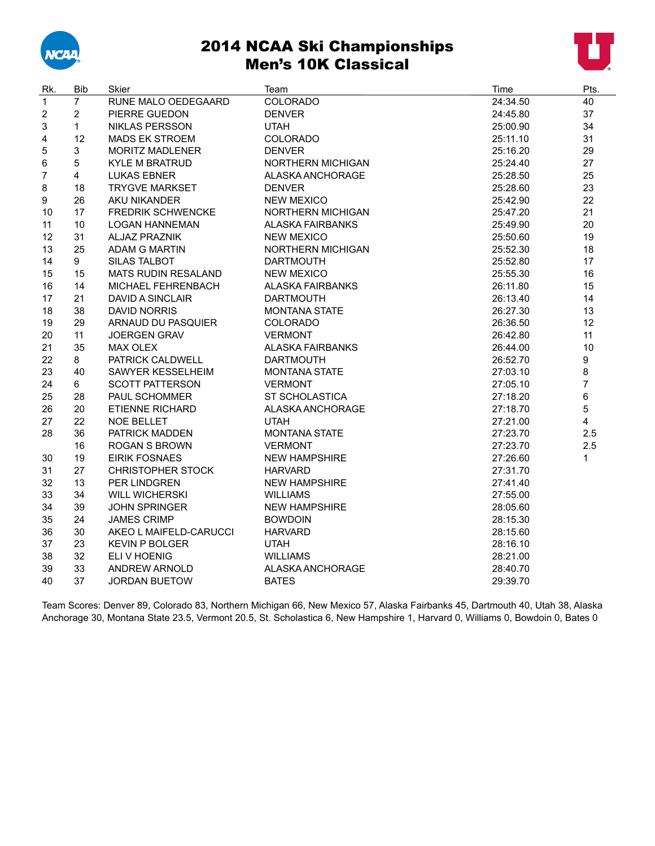

## 2014 NCAA Ski Championships Men's 10K Classical



| Rk.                     | <b>Bib</b>     | Skier                      | Team                     | Time     | Pts.           |
|-------------------------|----------------|----------------------------|--------------------------|----------|----------------|
| $\mathbf{1}$            | $\overline{7}$ | RUNE MALO OEDEGAARD        | COLORADO                 | 24:34.50 | 40             |
| $\overline{\mathbf{c}}$ | $\overline{2}$ | PIERRE GUEDON              | <b>DENVER</b>            | 24:45.80 | 37             |
| 3                       | $\mathbf{1}$   | <b>NIKLAS PERSSON</b>      | <b>UTAH</b>              | 25:00.90 | 34             |
| 4                       | 12             | <b>MADS EK STROEM</b>      | COLORADO                 | 25:11.10 | 31             |
| 5                       | 3              | <b>MORITZ MADLENER</b>     | <b>DENVER</b>            | 25:16.20 | 29             |
| 6                       | 5              | <b>KYLE M BRATRUD</b>      | NORTHERN MICHIGAN        | 25:24.40 | 27             |
| $\overline{7}$          | 4              | <b>LUKAS EBNER</b>         | ALASKA ANCHORAGE         | 25:28.50 | 25             |
| 8                       | 18             | <b>TRYGVE MARKSET</b>      | <b>DENVER</b>            | 25:28.60 | 23             |
| 9                       | 26             | AKU NIKANDER               | <b>NEW MEXICO</b>        | 25:42.90 | 22             |
| 10                      | 17             | <b>FREDRIK SCHWENCKE</b>   | NORTHERN MICHIGAN        | 25:47.20 | 21             |
| 11                      | 10             | <b>LOGAN HANNEMAN</b>      | <b>ALASKA FAIRBANKS</b>  | 25:49.90 | 20             |
| 12                      | 31             | <b>ALJAZ PRAZNIK</b>       | <b>NEW MEXICO</b>        | 25:50.60 | 19             |
| 13                      | 25             | ADAM G MARTIN              | <b>NORTHERN MICHIGAN</b> | 25:52.30 | 18             |
| 14                      | 9              | <b>SILAS TALBOT</b>        | <b>DARTMOUTH</b>         | 25:52.80 | 17             |
| 15                      | 15             | <b>MATS RUDIN RESALAND</b> | <b>NEW MEXICO</b>        | 25:55.30 | 16             |
| 16                      | 14             | MICHAEL FEHRENBACH         | <b>ALASKA FAIRBANKS</b>  | 26:11.80 | 15             |
| 17                      | 21             | <b>DAVID A SINCLAIR</b>    | <b>DARTMOUTH</b>         | 26:13.40 | 14             |
| 18                      | 38             | <b>DAVID NORRIS</b>        | <b>MONTANA STATE</b>     | 26:27.30 | 13             |
| 19                      | 29             | ARNAUD DU PASQUIER         | <b>COLORADO</b>          | 26:36.50 | 12             |
| 20                      | 11             | <b>JOERGEN GRAV</b>        | <b>VERMONT</b>           | 26:42.80 | 11             |
| 21                      | 35             | MAX OLEX                   | <b>ALASKA FAIRBANKS</b>  | 26:44.00 | 10             |
| 22                      | 8              | PATRICK CALDWELL           | <b>DARTMOUTH</b>         | 26:52.70 | 9              |
| 23                      | 40             | SAWYER KESSELHEIM          | <b>MONTANA STATE</b>     | 27:03.10 | $\bf 8$        |
| 24                      | 6              | <b>SCOTT PATTERSON</b>     | <b>VERMONT</b>           | 27:05.10 | $\overline{7}$ |
| 25                      | 28             | PAUL SCHOMMER              | <b>ST SCHOLASTICA</b>    | 27:18.20 | 6              |
| 26                      | 20             | ETIENNE RICHARD            | ALASKA ANCHORAGE         | 27:18.70 | 5              |
| 27                      | 22             | <b>NOE BELLET</b>          | <b>UTAH</b>              | 27:21.00 | $\overline{4}$ |
| 28                      | 36             | PATRICK MADDEN             | <b>MONTANA STATE</b>     | 27:23.70 | 2.5            |
|                         | 16             | <b>ROGAN S BROWN</b>       | <b>VERMONT</b>           | 27:23.70 | 2.5            |
| 30                      | 19             | <b>EIRIK FOSNAES</b>       | <b>NEW HAMPSHIRE</b>     | 27:26.60 | 1              |
| 31                      | 27             | <b>CHRISTOPHER STOCK</b>   | <b>HARVARD</b>           | 27:31.70 |                |
| 32                      | 13             | PER LINDGREN               | <b>NEW HAMPSHIRE</b>     | 27:41.40 |                |
| 33                      | 34             | <b>WILL WICHERSKI</b>      | <b>WILLIAMS</b>          | 27:55.00 |                |
| 34                      | 39             | <b>JOHN SPRINGER</b>       | <b>NEW HAMPSHIRE</b>     | 28:05.60 |                |
| 35                      | 24             | <b>JAMES CRIMP</b>         | <b>BOWDOIN</b>           | 28:15.30 |                |
| 36                      | 30             | AKEO L MAIFELD-CARUCCI     | <b>HARVARD</b>           | 28:15.60 |                |
| 37                      | 23             | <b>KEVIN P BOLGER</b>      | <b>UTAH</b>              | 28:16.10 |                |
| 38                      | 32             | ELI V HOENIG               | <b>WILLIAMS</b>          | 28:21.00 |                |
| 39                      | 33             | <b>ANDREW ARNOLD</b>       | ALASKA ANCHORAGE         | 28:40.70 |                |
| 40                      | 37             | <b>JORDAN BUETOW</b>       | <b>BATES</b>             | 29:39.70 |                |

Team Scores: Denver 89, Colorado 83, Northern Michigan 66, New Mexico 57, Alaska Fairbanks 45, Dartmouth 40, Utah 38, Alaska Anchorage 30, Montana State 23.5, Vermont 20.5, St. Scholastica 6, New Hampshire 1, Harvard 0, Williams 0, Bowdoin 0, Bates 0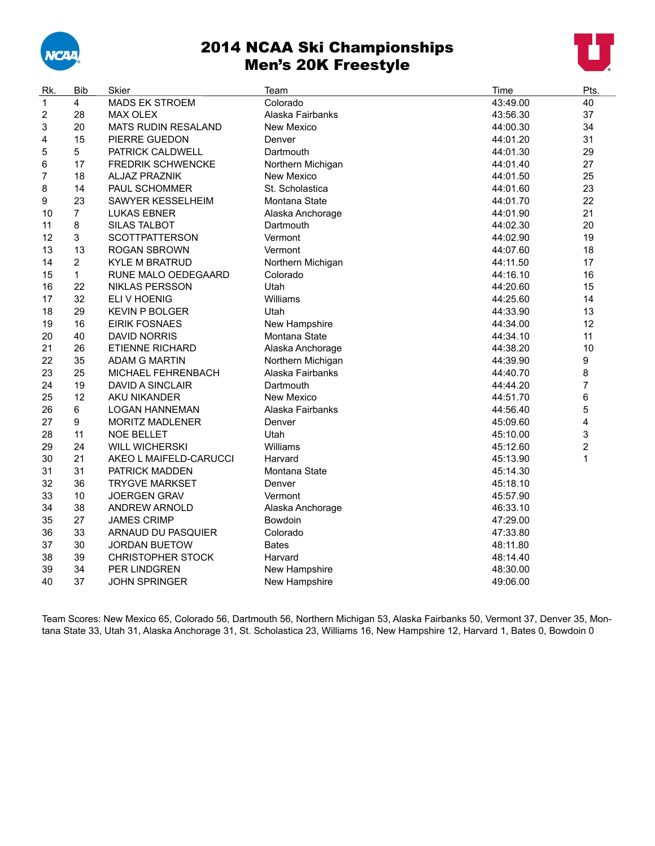

## 2014 NCAA Ski Championships Men's 20K Freestyle



| Rk. | <b>Bib</b>       | Skier                      | Team              | Time     | Pts.           |
|-----|------------------|----------------------------|-------------------|----------|----------------|
| 1   | $\overline{4}$   | <b>MADS EK STROEM</b>      | Colorado          | 43:49.00 | 40             |
| 2   | 28               | <b>MAX OLEX</b>            | Alaska Fairbanks  | 43:56.30 | 37             |
| 3   | 20               | <b>MATS RUDIN RESALAND</b> | <b>New Mexico</b> | 44:00.30 | 34             |
| 4   | 15               | PIERRE GUEDON              | Denver            | 44:01.20 | 31             |
| 5   | 5                | PATRICK CALDWELL           | Dartmouth         | 44:01.30 | 29             |
| 6   | 17               | <b>FREDRIK SCHWENCKE</b>   | Northern Michigan | 44:01.40 | 27             |
| 7   | 18               | <b>ALJAZ PRAZNIK</b>       | <b>New Mexico</b> | 44:01.50 | 25             |
| 8   | 14               | PAUL SCHOMMER              | St. Scholastica   | 44:01.60 | 23             |
| 9   | 23               | SAWYER KESSELHEIM          | Montana State     | 44:01.70 | 22             |
| 10  | $\overline{7}$   | <b>LUKAS EBNER</b>         | Alaska Anchorage  | 44:01.90 | 21             |
| 11  | 8                | <b>SILAS TALBOT</b>        | Dartmouth         | 44:02.30 | 20             |
| 12  | 3                | <b>SCOTTPATTERSON</b>      | Vermont           | 44:02.90 | 19             |
| 13  | 13               | <b>ROGAN SBROWN</b>        | Vermont           | 44:07.60 | 18             |
| 14  | 2                | <b>KYLE M BRATRUD</b>      | Northern Michigan | 44:11.50 | 17             |
| 15  | $\mathbf{1}$     | RUNE MALO OEDEGAARD        | Colorado          | 44:16.10 | 16             |
| 16  | 22               | <b>NIKLAS PERSSON</b>      | Utah              | 44:20.60 | 15             |
| 17  | 32               | ELI V HOENIG               | Williams          | 44:25.60 | 14             |
| 18  | 29               | <b>KEVIN P BOLGER</b>      | Utah              | 44:33.90 | 13             |
| 19  | 16               | <b>EIRIK FOSNAES</b>       | New Hampshire     | 44:34.00 | 12             |
| 20  | 40               | <b>DAVID NORRIS</b>        | Montana State     | 44:34.10 | 11             |
| 21  | 26               | ETIENNE RICHARD            | Alaska Anchorage  | 44:38.20 | 10             |
| 22  | 35               | <b>ADAM G MARTIN</b>       | Northern Michigan | 44:39.90 | 9              |
| 23  | 25               | MICHAEL FEHRENBACH         | Alaska Fairbanks  | 44:40.70 | 8              |
| 24  | 19               | <b>DAVID A SINCLAIR</b>    | Dartmouth         | 44:44.20 | 7              |
| 25  | 12               | AKU NIKANDER               | <b>New Mexico</b> | 44:51.70 | 6              |
| 26  | 6                | <b>LOGAN HANNEMAN</b>      | Alaska Fairbanks  | 44:56.40 | 5              |
| 27  | $\boldsymbol{9}$ | MORITZ MADLENER            | Denver            | 45:09.60 | 4              |
| 28  | 11               | <b>NOE BELLET</b>          | Utah              | 45:10.00 | 3              |
| 29  | 24               | <b>WILL WICHERSKI</b>      | Williams          | 45:12.60 | $\overline{2}$ |
| 30  | 21               | AKEO L MAIFELD-CARUCCI     | Harvard           | 45:13.90 | $\mathbf{1}$   |
| 31  | 31               | PATRICK MADDEN             | Montana State     | 45:14.30 |                |
| 32  | 36               | <b>TRYGVE MARKSET</b>      | Denver            | 45:18.10 |                |
| 33  | 10               | <b>JOERGEN GRAV</b>        | Vermont           | 45:57.90 |                |
| 34  | 38               | ANDREW ARNOLD              | Alaska Anchorage  | 46:33.10 |                |
| 35  | 27               | <b>JAMES CRIMP</b>         | Bowdoin           | 47:29.00 |                |
| 36  | 33               | ARNAUD DU PASQUIER         | Colorado          | 47:33.80 |                |
| 37  | 30               | <b>JORDAN BUETOW</b>       | <b>Bates</b>      | 48:11.80 |                |
| 38  | 39               | <b>CHRISTOPHER STOCK</b>   | Harvard           | 48:14.40 |                |
| 39  | 34               | PER LINDGREN               | New Hampshire     | 48:30.00 |                |
| 40  | 37               | <b>JOHN SPRINGER</b>       | New Hampshire     | 49:06.00 |                |

Team Scores: New Mexico 65, Colorado 56, Dartmouth 56, Northern Michigan 53, Alaska Fairbanks 50, Vermont 37, Denver 35, Montana State 33, Utah 31, Alaska Anchorage 31, St. Scholastica 23, Williams 16, New Hampshire 12, Harvard 1, Bates 0, Bowdoin 0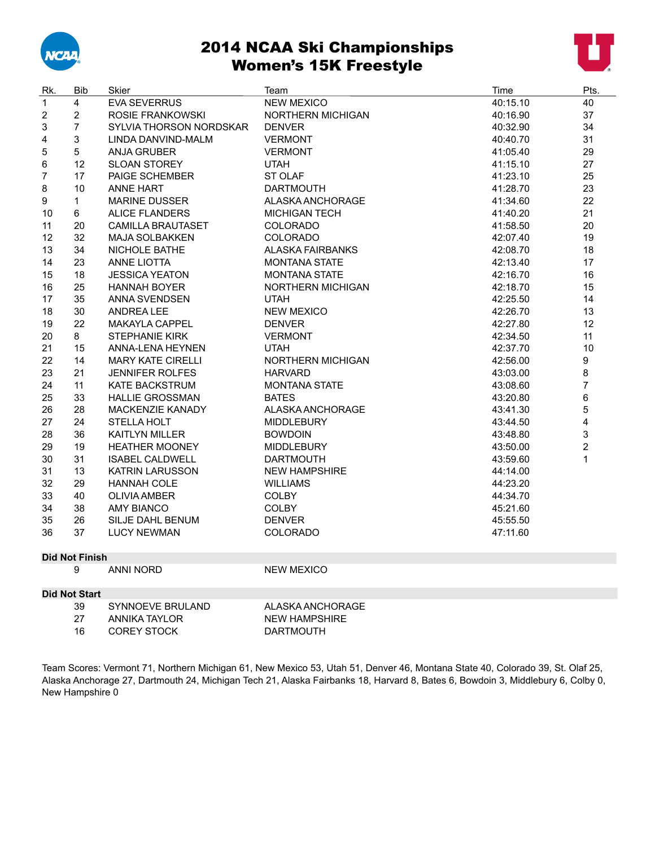

#### 2014 NCAA Ski Championships Women's 15K Freestyle



| Rk.            | <b>Bib</b>            | Skier                    | Team                     | Time     | Pts.           |
|----------------|-----------------------|--------------------------|--------------------------|----------|----------------|
| $\mathbf{1}$   | $\overline{4}$        | <b>EVA SEVERRUS</b>      | <b>NEW MEXICO</b>        | 40:15.10 | 40             |
| $\overline{2}$ | $\overline{2}$        | ROSIE FRANKOWSKI         | <b>NORTHERN MICHIGAN</b> | 40:16.90 | 37             |
| 3              | $\overline{7}$        | SYLVIA THORSON NORDSKAR  | <b>DENVER</b>            | 40:32.90 | 34             |
| 4              | 3                     | LINDA DANVIND-MALM       | <b>VERMONT</b>           | 40:40.70 | 31             |
| 5              | 5                     | <b>ANJA GRUBER</b>       | <b>VERMONT</b>           | 41:05.40 | 29             |
| 6              | 12                    | <b>SLOAN STOREY</b>      | <b>UTAH</b>              | 41:15.10 | 27             |
| $\overline{7}$ | 17                    | PAIGE SCHEMBER           | <b>ST OLAF</b>           | 41:23.10 | 25             |
| 8              | 10                    | <b>ANNE HART</b>         | <b>DARTMOUTH</b>         | 41:28.70 | 23             |
| 9              | $\mathbf{1}$          | <b>MARINE DUSSER</b>     | ALASKA ANCHORAGE         | 41:34.60 | 22             |
| 10             | 6                     | <b>ALICE FLANDERS</b>    | <b>MICHIGAN TECH</b>     | 41:40.20 | 21             |
| 11             | 20                    | <b>CAMILLA BRAUTASET</b> | <b>COLORADO</b>          | 41:58.50 | 20             |
| 12             | 32                    | <b>MAJA SOLBAKKEN</b>    | COLORADO                 | 42:07.40 | 19             |
| 13             | 34                    | NICHOLE BATHE            | <b>ALASKA FAIRBANKS</b>  | 42:08.70 | 18             |
| 14             | 23                    | <b>ANNE LIOTTA</b>       | <b>MONTANA STATE</b>     | 42:13.40 | 17             |
| 15             | 18                    | <b>JESSICA YEATON</b>    | <b>MONTANA STATE</b>     | 42:16.70 | 16             |
| 16             | 25                    | <b>HANNAH BOYER</b>      | NORTHERN MICHIGAN        | 42:18.70 | 15             |
| 17             | 35                    | <b>ANNA SVENDSEN</b>     | <b>UTAH</b>              | 42:25.50 | 14             |
| 18             | 30                    | <b>ANDREA LEE</b>        | <b>NEW MEXICO</b>        | 42:26.70 | 13             |
| 19             | 22                    | MAKAYLA CAPPEL           | <b>DENVER</b>            | 42:27.80 | 12             |
| 20             | 8                     | <b>STEPHANIE KIRK</b>    | <b>VERMONT</b>           | 42:34.50 | 11             |
| 21             | 15                    | <b>ANNA-LENA HEYNEN</b>  | <b>UTAH</b>              | 42:37.70 | 10             |
| 22             | 14                    | <b>MARY KATE CIRELLI</b> | NORTHERN MICHIGAN        | 42:56.00 | 9              |
| 23             | 21                    | <b>JENNIFER ROLFES</b>   | <b>HARVARD</b>           | 43:03.00 | 8              |
| 24             | 11                    | <b>KATE BACKSTRUM</b>    | <b>MONTANA STATE</b>     | 43:08.60 | $\overline{7}$ |
| 25             | 33                    | <b>HALLIE GROSSMAN</b>   | <b>BATES</b>             | 43:20.80 | 6              |
| 26             | 28                    | <b>MACKENZIE KANADY</b>  | ALASKA ANCHORAGE         | 43:41.30 | 5              |
| 27             | 24                    | STELLA HOLT              | <b>MIDDLEBURY</b>        | 43:44.50 | 4              |
| 28             | 36                    | <b>KAITLYN MILLER</b>    | <b>BOWDOIN</b>           | 43:48.80 | 3              |
| 29             | 19                    | <b>HEATHER MOONEY</b>    | <b>MIDDLEBURY</b>        | 43:50.00 | $\overline{2}$ |
| 30             | 31                    | <b>ISABEL CALDWELL</b>   | <b>DARTMOUTH</b>         | 43:59.60 | $\mathbf{1}$   |
| 31             | 13                    | <b>KATRIN LARUSSON</b>   | <b>NEW HAMPSHIRE</b>     | 44:14.00 |                |
| 32             | 29                    | <b>HANNAH COLE</b>       | <b>WILLIAMS</b>          | 44:23.20 |                |
| 33             | 40                    | <b>OLIVIA AMBER</b>      | <b>COLBY</b>             | 44:34.70 |                |
| 34             | 38                    | <b>AMY BIANCO</b>        | <b>COLBY</b>             | 45:21.60 |                |
| 35             | 26                    | SILJE DAHL BENUM         | <b>DENVER</b>            | 45:55.50 |                |
| 36             | 37                    | <b>LUCY NEWMAN</b>       | <b>COLORADO</b>          | 47:11.60 |                |
|                |                       |                          |                          |          |                |
|                | <b>Did Not Finish</b> |                          |                          |          |                |
|                | 9                     | <b>ANNI NORD</b>         | <b>NEW MEXICO</b>        |          |                |
|                | <b>Did Not Start</b>  |                          |                          |          |                |
|                | 39                    | SYNNOEVE BRULAND         | ALASKA ANCHORAGE         |          |                |
|                | 27                    | <b>ANNIKA TAYLOR</b>     | <b>NEW HAMPSHIRE</b>     |          |                |
|                | 16                    | <b>COREY STOCK</b>       | <b>DARTMOUTH</b>         |          |                |
|                |                       |                          |                          |          |                |

Team Scores: Vermont 71, Northern Michigan 61, New Mexico 53, Utah 51, Denver 46, Montana State 40, Colorado 39, St. Olaf 25, Alaska Anchorage 27, Dartmouth 24, Michigan Tech 21, Alaska Fairbanks 18, Harvard 8, Bates 6, Bowdoin 3, Middlebury 6, Colby 0, New Hampshire 0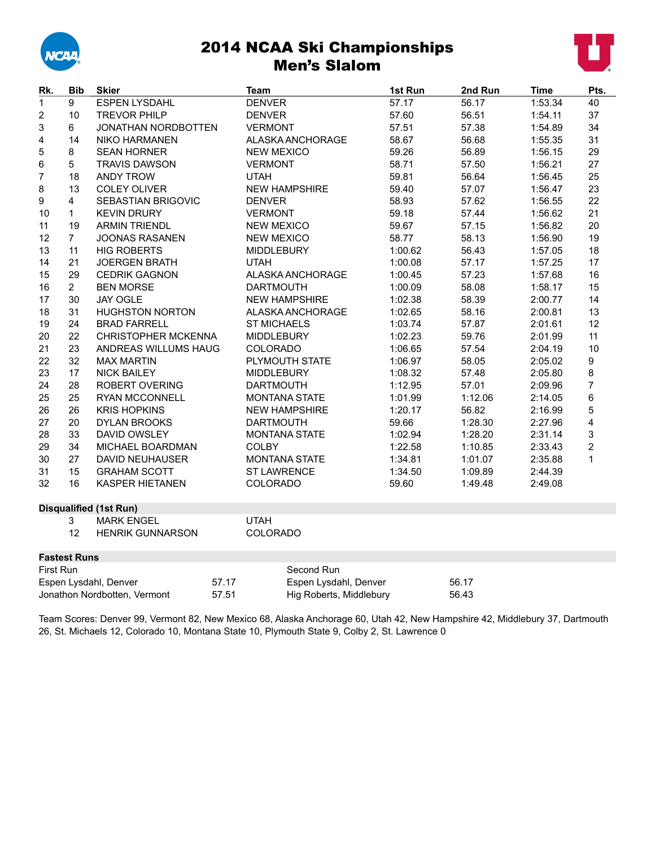

#### 2014 NCAA Ski Championships Men's Slalom



| Rk.                                   | <b>Bib</b>          | <b>Skier</b>                   | Team                    |                       | 1st Run | 2nd Run | <b>Time</b> | Pts.                    |
|---------------------------------------|---------------------|--------------------------------|-------------------------|-----------------------|---------|---------|-------------|-------------------------|
| $\mathbf{1}$                          | 9                   | <b>ESPEN LYSDAHL</b>           | <b>DENVER</b>           |                       | 57.17   | 56.17   | 1:53.34     | 40                      |
| $\boldsymbol{2}$                      | 10                  | <b>TREVOR PHILP</b>            | <b>DENVER</b>           |                       | 57.60   | 56.51   | 1:54.11     | 37                      |
| 3                                     | 6                   | <b>JONATHAN NORDBOTTEN</b>     | <b>VERMONT</b>          |                       | 57.51   | 57.38   | 1:54.89     | 34                      |
| 4                                     | 14                  | <b>NIKO HARMANEN</b>           |                         | ALASKA ANCHORAGE      | 58.67   | 56.68   | 1:55.35     | 31                      |
| 5                                     | 8                   | <b>SEAN HORNER</b>             | <b>NEW MEXICO</b>       |                       | 59.26   | 56.89   | 1:56.15     | 29                      |
| 6                                     | 5                   | <b>TRAVIS DAWSON</b>           | <b>VERMONT</b>          |                       | 58.71   | 57.50   | 1:56.21     | 27                      |
| $\overline{7}$                        | 18                  | <b>ANDY TROW</b>               | <b>UTAH</b>             |                       | 59.81   | 56.64   | 1:56.45     | 25                      |
| 8                                     | 13                  | <b>COLEY OLIVER</b>            | <b>NEW HAMPSHIRE</b>    |                       | 59.40   | 57.07   | 1:56.47     | 23                      |
| 9                                     | 4                   | SEBASTIAN BRIGOVIC             | <b>DENVER</b>           |                       | 58.93   | 57.62   | 1:56.55     | 22                      |
| 10                                    | $\mathbf{1}$        | <b>KEVIN DRURY</b>             | <b>VERMONT</b>          |                       | 59.18   | 57.44   | 1:56.62     | 21                      |
| 11                                    | 19                  | <b>ARMIN TRIENDL</b>           | <b>NEW MEXICO</b>       |                       | 59.67   | 57.15   | 1:56.82     | 20                      |
| 12                                    | $\overline{7}$      | <b>JOONAS RASANEN</b>          | <b>NEW MEXICO</b>       |                       | 58.77   | 58.13   | 1:56.90     | 19                      |
| 13                                    | 11                  | <b>HIG ROBERTS</b>             | <b>MIDDLEBURY</b>       |                       | 1:00.62 | 56.43   | 1:57.05     | 18                      |
| 14                                    | 21                  | <b>JOERGEN BRATH</b>           | <b>UTAH</b>             |                       | 1:00.08 | 57.17   | 1:57.25     | 17                      |
| 15                                    | 29                  | <b>CEDRIK GAGNON</b>           |                         | ALASKA ANCHORAGE      | 1:00.45 | 57.23   | 1:57.68     | 16                      |
| 16                                    | 2 <sup>1</sup>      | <b>BEN MORSE</b>               | <b>DARTMOUTH</b>        |                       | 1:00.09 | 58.08   | 1:58.17     | 15                      |
| 17                                    | 30                  | <b>JAY OGLE</b>                | <b>NEW HAMPSHIRE</b>    |                       | 1:02.38 | 58.39   | 2:00.77     | 14                      |
| 18                                    | 31                  | <b>HUGHSTON NORTON</b>         |                         | ALASKA ANCHORAGE      | 1:02.65 | 58.16   | 2:00.81     | 13                      |
| 19                                    | 24                  | <b>BRAD FARRELL</b>            | <b>ST MICHAELS</b>      |                       | 1:03.74 | 57.87   | 2:01.61     | 12                      |
| 20                                    | 22                  | CHRISTOPHER MCKENNA            | <b>MIDDLEBURY</b>       |                       | 1:02.23 | 59.76   | 2:01.99     | 11                      |
| 21                                    | 23                  | ANDREAS WILLUMS HAUG           | <b>COLORADO</b>         |                       | 1:06.65 | 57.54   | 2:04.19     | 10                      |
| 22                                    | 32                  | <b>MAX MARTIN</b>              | PLYMOUTH STATE          |                       | 1:06.97 | 58.05   | 2:05.02     | 9                       |
| 23                                    | 17                  | <b>NICK BAILEY</b>             | <b>MIDDLEBURY</b>       |                       | 1:08.32 | 57.48   | 2:05.80     | 8                       |
| 24                                    | 28                  | ROBERT OVERING                 | <b>DARTMOUTH</b>        |                       | 1:12.95 | 57.01   | 2:09.96     | $\overline{7}$          |
| 25                                    | 25                  | <b>RYAN MCCONNELL</b>          | <b>MONTANA STATE</b>    |                       | 1:01.99 | 1:12.06 | 2:14.05     | 6                       |
| 26                                    | 26                  | <b>KRIS HOPKINS</b>            | <b>NEW HAMPSHIRE</b>    |                       | 1:20.17 | 56.82   | 2:16.99     | 5                       |
| 27                                    | 20                  | <b>DYLAN BROOKS</b>            | <b>DARTMOUTH</b>        |                       | 59.66   | 1:28.30 | 2:27.96     | 4                       |
| 28                                    | 33                  | DAVID OWSLEY                   | <b>MONTANA STATE</b>    |                       | 1:02.94 | 1:28.20 | 2:31.14     | 3                       |
| 29                                    | 34                  | MICHAEL BOARDMAN               | <b>COLBY</b>            |                       | 1:22.58 | 1:10.85 | 2:33.43     | $\overline{\mathbf{c}}$ |
| 30                                    | 27                  | DAVID NEUHAUSER                | <b>MONTANA STATE</b>    |                       | 1:34.81 | 1:01.07 | 2:35.88     | 1                       |
| 31                                    | 15                  | <b>GRAHAM SCOTT</b>            | <b>ST LAWRENCE</b>      |                       | 1:34.50 | 1:09.89 | 2:44.39     |                         |
| 32                                    | 16                  | <b>KASPER HIETANEN</b>         | COLORADO                |                       | 59.60   | 1:49.48 | 2:49.08     |                         |
|                                       |                     | <b>Disqualified (1st Run)</b>  |                         |                       |         |         |             |                         |
| 3<br><b>MARK ENGEL</b>                |                     | <b>UTAH</b>                    |                         |                       |         |         |             |                         |
|                                       | 12                  | <b>HENRIK GUNNARSON</b>        | COLORADO                |                       |         |         |             |                         |
|                                       | <b>Fastest Runs</b> |                                |                         |                       |         |         |             |                         |
| First Run                             |                     |                                |                         | Second Run            |         |         |             |                         |
|                                       |                     | 57.17<br>Espen Lysdahl, Denver |                         | Espen Lysdahl, Denver |         | 56.17   |             |                         |
| Jonathon Nordbotten, Vermont<br>57.51 |                     |                                | Hig Roberts, Middlebury |                       | 56.43   |         |             |                         |

Team Scores: Denver 99, Vermont 82, New Mexico 68, Alaska Anchorage 60, Utah 42, New Hampshire 42, Middlebury 37, Dartmouth 26, St. Michaels 12, Colorado 10, Montana State 10, Plymouth State 9, Colby 2, St. Lawrence 0